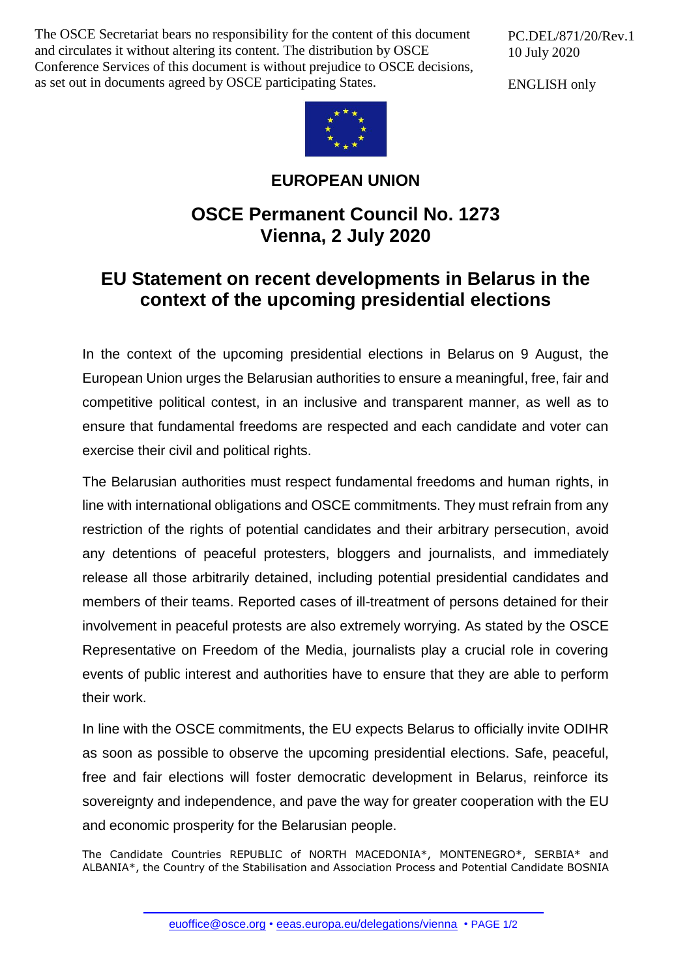The OSCE Secretariat bears no responsibility for the content of this document and circulates it without altering its content. The distribution by OSCE Conference Services of this document is without prejudice to OSCE decisions, as set out in documents agreed by OSCE participating States.

PC.DEL/871/20/Rev.1 10 July 2020

ENGLISH only



**EUROPEAN UNION**

## **OSCE Permanent Council No. 1273 Vienna, 2 July 2020**

## **EU Statement on recent developments in Belarus in the context of the upcoming presidential elections**

In the context of the upcoming presidential elections in Belarus [on 9 August,](file:///C:/Users/catal/Documents/Catalina/PC%201273%202%20July%202020/) the European Union urges the Belarusian authorities to ensure a meaningful, free, fair and competitive political contest, in an inclusive and transparent manner, as well as to ensure that fundamental freedoms are respected and each candidate and voter can exercise their civil and political rights.

The Belarusian authorities must respect fundamental freedoms and human rights, in line with international obligations and OSCE commitments. They must refrain from any restriction of the rights of potential candidates and their arbitrary persecution, avoid any detentions of peaceful protesters, bloggers and journalists, and immediately release all those arbitrarily detained, including potential presidential candidates and members of their teams. Reported cases of ill-treatment of persons detained for their involvement in peaceful protests are also extremely worrying. As stated by the OSCE Representative on Freedom of the Media, journalists play a crucial role in covering events of public interest and authorities have to ensure that they are able to perform their work.

In line with the OSCE commitments, the EU expects Belarus to officially invite ODIHR as soon as possible to observe the upcoming presidential elections. Safe, peaceful, free and fair elections will foster democratic development in Belarus, reinforce its sovereignty and independence, and pave the way for greater cooperation with the EU and economic prosperity for the Belarusian people.

The Candidate Countries REPUBLIC of NORTH MACEDONIA\*, MONTENEGRO\*, SERBIA\* and ALBANIA\*, the Country of the Stabilisation and Association Process and Potential Candidate BOSNIA